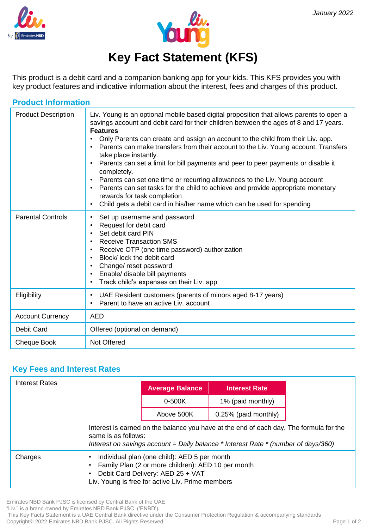



# **Key Fact Statement (KFS)**

This product is a debit card and a companion banking app for your kids. This KFS provides you with key product features and indicative information about the interest, fees and charges of this product.

| <b>Product Information</b> |                                                                                                                                                                                                                                                                                                                                                                                                                                                                                                                                                                                                                                                                                                                                                                                                   |  |  |
|----------------------------|---------------------------------------------------------------------------------------------------------------------------------------------------------------------------------------------------------------------------------------------------------------------------------------------------------------------------------------------------------------------------------------------------------------------------------------------------------------------------------------------------------------------------------------------------------------------------------------------------------------------------------------------------------------------------------------------------------------------------------------------------------------------------------------------------|--|--|
| <b>Product Description</b> | Liv. Young is an optional mobile based digital proposition that allows parents to open a<br>savings account and debit card for their children between the ages of 8 and 17 years.<br><b>Features</b><br>Only Parents can create and assign an account to the child from their Liv. app.<br>Parents can make transfers from their account to the Liv. Young account. Transfers<br>take place instantly.<br>Parents can set a limit for bill payments and peer to peer payments or disable it<br>completely.<br>Parents can set one time or recurring allowances to the Liv. Young account<br>$\bullet$<br>Parents can set tasks for the child to achieve and provide appropriate monetary<br>rewards for task completion<br>Child gets a debit card in his/her name which can be used for spending |  |  |
| <b>Parental Controls</b>   | Set up username and password<br>Request for debit card<br>Set debit card PIN<br><b>Receive Transaction SMS</b><br>$\bullet$<br>Receive OTP (one time password) authorization<br>$\bullet$<br>Block/lock the debit card<br>Change/ reset password<br>Enable/ disable bill payments<br>$\bullet$<br>Track child's expenses on their Liv. app                                                                                                                                                                                                                                                                                                                                                                                                                                                        |  |  |
| Eligibility                | UAE Resident customers (parents of minors aged 8-17 years)<br>$\bullet$<br>Parent to have an active Liv. account                                                                                                                                                                                                                                                                                                                                                                                                                                                                                                                                                                                                                                                                                  |  |  |
| <b>Account Currency</b>    | <b>AED</b>                                                                                                                                                                                                                                                                                                                                                                                                                                                                                                                                                                                                                                                                                                                                                                                        |  |  |
| Debit Card                 | Offered (optional on demand)                                                                                                                                                                                                                                                                                                                                                                                                                                                                                                                                                                                                                                                                                                                                                                      |  |  |
| Cheque Book                | Not Offered                                                                                                                                                                                                                                                                                                                                                                                                                                                                                                                                                                                                                                                                                                                                                                                       |  |  |

# **Key Fees and Interest Rates**

| Interest Rates |                                                                                                                                                                                                         |                        |                      |  |  |  |
|----------------|---------------------------------------------------------------------------------------------------------------------------------------------------------------------------------------------------------|------------------------|----------------------|--|--|--|
|                |                                                                                                                                                                                                         | <b>Average Balance</b> | <b>Interest Rate</b> |  |  |  |
|                |                                                                                                                                                                                                         | $0 - 500K$             | 1% (paid monthly)    |  |  |  |
|                |                                                                                                                                                                                                         | Above 500K             | 0.25% (paid monthly) |  |  |  |
|                | Interest is earned on the balance you have at the end of each day. The formula for the<br>same is as follows:<br>Interest on savings account = Daily balance $*$ Interest Rate $*$ (number of days/360) |                        |                      |  |  |  |
| Charges        | Individual plan (one child): AED 5 per month<br>Family Plan (2 or more children): AED 10 per month<br>Debit Card Delivery: AED 25 + VAT<br>Liv. Young is free for active Liv. Prime members             |                        |                      |  |  |  |

Emirates NBD Bank PJSC is licensed by Central Bank of the UAE

"Liv." is a brand owned by Emirates NBD Bank PJSC. ('ENBD').

This Key Facts Statement is a UAE Central Bank directive under the Consumer Protection Regulation & accompanying standards Copyright© 2022 Emirates NBD Bank PJSC. All Rights Reserved.